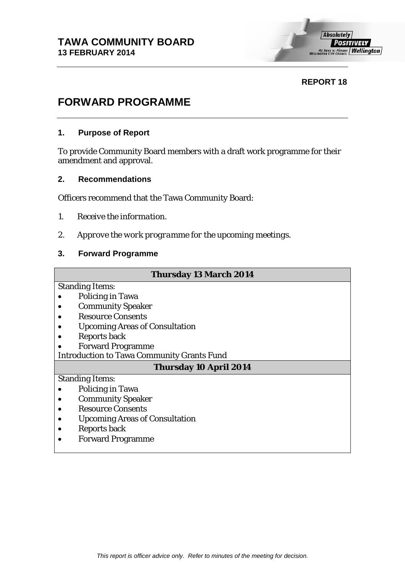## **REPORT 18**

# **FORWARD PROGRAMME**

#### **1. Purpose of Report**

To provide Community Board members with a draft work programme for their amendment and approval.

#### **2. Recommendations**

Officers recommend that the Tawa Community Board:

- *1. Receive the information.*
- *2. Approve the work programme for the upcoming meetings.*

## **3. Forward Programme**

| <b>Thursday 13 March 2014</b>                     |
|---------------------------------------------------|
| <b>Standing Items:</b>                            |
| <b>Policing in Tawa</b>                           |
| <b>Community Speaker</b>                          |
| <b>Resource Consents</b>                          |
| <b>Upcoming Areas of Consultation</b>             |
| <b>Reports back</b>                               |
| <b>Forward Programme</b>                          |
| <b>Introduction to Tawa Community Grants Fund</b> |
| <b>Thursday 10 April 2014</b>                     |
| <b>Standing Items:</b>                            |
| <b>Policing in Tawa</b>                           |
| <b>Community Speaker</b>                          |
| <b>Resource Consents</b>                          |
| <b>Upcoming Areas of Consultation</b>             |
| <b>Reports back</b>                               |
| <b>Forward Programme</b>                          |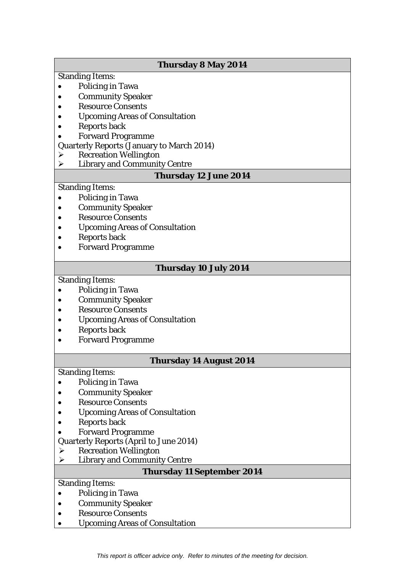## **Thursday 8 May 2014** Standing Items: • Policing in Tawa • Community Speaker • Resource Consents • Upcoming Areas of Consultation • Reports back • Forward Programme Quarterly Reports (January to March 2014) Recreation Wellington  $\triangleright$  Library and Community Centre **Thursday 12 June 2014** Standing Items: • Policing in Tawa • Community Speaker • Resource Consents • Upcoming Areas of Consultation • Reports back • Forward Programme **Thursday 10 July 2014** Standing Items: • Policing in Tawa • Community Speaker • Resource Consents • Upcoming Areas of Consultation • Reports back • Forward Programme **Thursday 14 August 2014** Standing Items: • Policing in Tawa • Community Speaker • Resource Consents • Upcoming Areas of Consultation

- Reports back
- Forward Programme
- Quarterly Reports (April to June 2014)
- $\triangleright$  Recreation Wellington
- $\triangleright$  Library and Community Centre

#### **Thursday 11 September 2014**

Standing Items:

- Policing in Tawa
- Community Speaker
- Resource Consents
- Upcoming Areas of Consultation